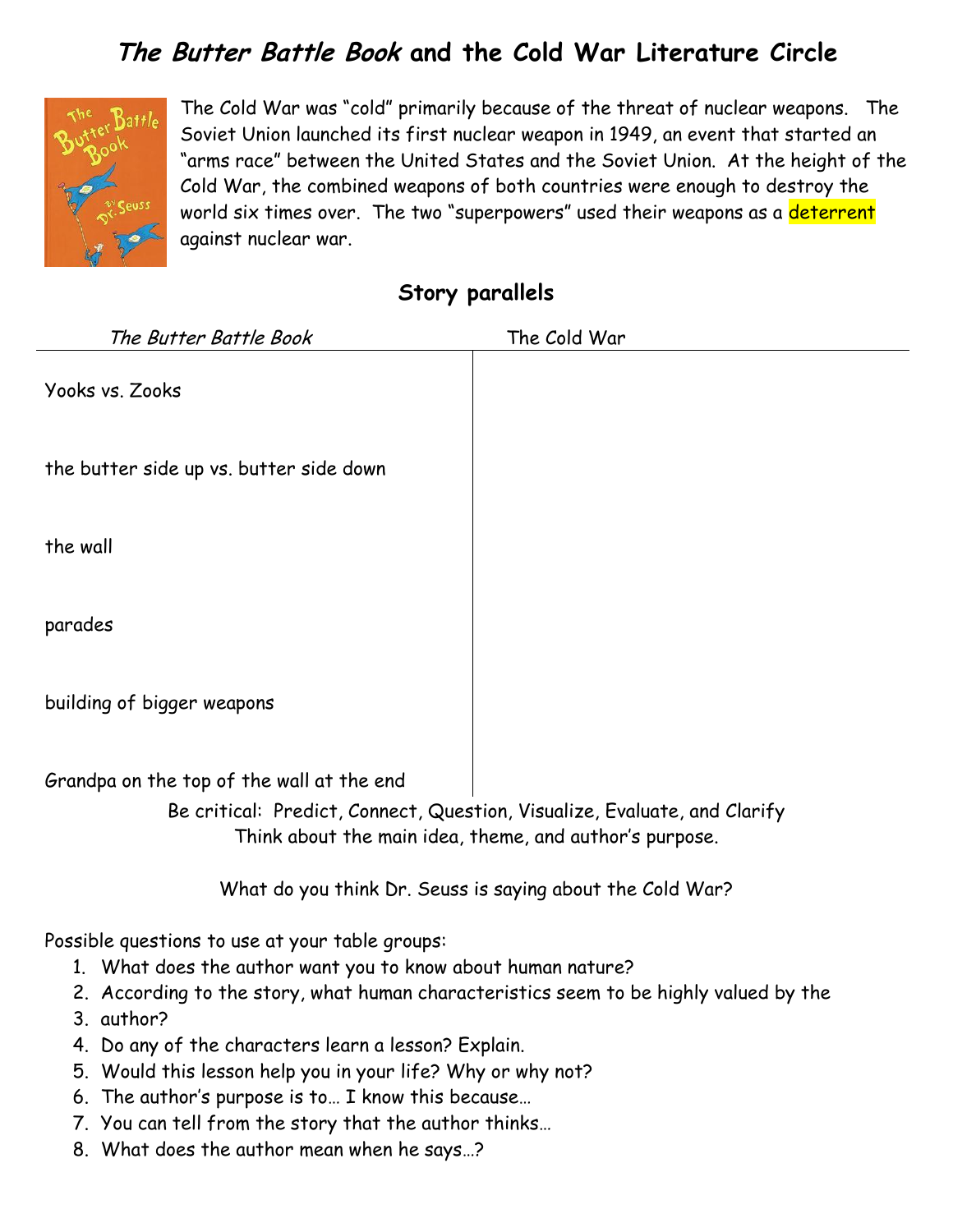## **The Butter Battle Book and the Cold War Literature Circle**



The Cold War was "cold" primarily because of the threat of nuclear weapons. The Soviet Union launched its first nuclear weapon in 1949, an event that started an "arms race" between the United States and the Soviet Union. At the height of the Cold War, the combined weapons of both countries were enough to destroy the world six times over. The two "superpowers" used their weapons as a deterrent against nuclear war.

| Story parallels |  |
|-----------------|--|
|                 |  |

| The Butter Battle Book                                                                                                                                                                                                                                                         | The Cold War                                              |  |
|--------------------------------------------------------------------------------------------------------------------------------------------------------------------------------------------------------------------------------------------------------------------------------|-----------------------------------------------------------|--|
| Yooks vs. Zooks                                                                                                                                                                                                                                                                |                                                           |  |
| the butter side up vs. butter side down                                                                                                                                                                                                                                        |                                                           |  |
| the wall                                                                                                                                                                                                                                                                       |                                                           |  |
| parades                                                                                                                                                                                                                                                                        |                                                           |  |
| building of bigger weapons                                                                                                                                                                                                                                                     |                                                           |  |
| Grandpa on the top of the wall at the end<br>Be critical: Predict, Connect, Question, Visualize, Evaluate, and Clarify<br>Think about the main idea, theme, and author's purpose.                                                                                              |                                                           |  |
|                                                                                                                                                                                                                                                                                | What do you think Dr. Seuss is saying about the Cold War? |  |
| Possible questions to use at your table groups:<br>1. What does the author want you to know about human nature?<br>2. According to the story, what human characteristics seem to be highly valued by the<br>3. author?<br>4. Do any of the characters learn a lesson? Explain. |                                                           |  |
| 5. Would this lesson help you in your life? Why or why not?                                                                                                                                                                                                                    |                                                           |  |

- 6. The author's purpose is to… I know this because…
- 7. You can tell from the story that the author thinks…
- 8. What does the author mean when he says…?